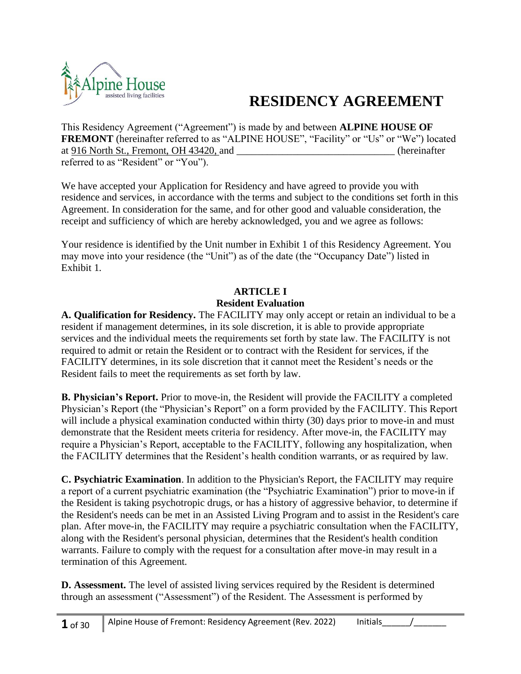

# **RESIDENCY AGREEMENT**

This Residency Agreement ("Agreement") is made by and between **ALPINE HOUSE OF FREMONT** (hereinafter referred to as "ALPINE HOUSE", "Facility" or "Us" or "We") located at 916 North St., Fremont, OH 43420, and  $\qquad \qquad$  (hereinafter referred to as "Resident" or "You").

We have accepted your Application for Residency and have agreed to provide you with residence and services, in accordance with the terms and subject to the conditions set forth in this Agreement. In consideration for the same, and for other good and valuable consideration, the receipt and sufficiency of which are hereby acknowledged, you and we agree as follows:

Your residence is identified by the Unit number in Exhibit 1 of this Residency Agreement. You may move into your residence (the "Unit") as of the date (the "Occupancy Date") listed in Exhibit 1.

#### **ARTICLE I Resident Evaluation**

**A. Qualification for Residency.** The FACILITY may only accept or retain an individual to be a resident if management determines, in its sole discretion, it is able to provide appropriate services and the individual meets the requirements set forth by state law. The FACILITY is not required to admit or retain the Resident or to contract with the Resident for services, if the FACILITY determines, in its sole discretion that it cannot meet the Resident's needs or the Resident fails to meet the requirements as set forth by law.

**B. Physician's Report.** Prior to move-in, the Resident will provide the FACILITY a completed Physician's Report (the "Physician's Report" on a form provided by the FACILITY. This Report will include a physical examination conducted within thirty (30) days prior to move-in and must demonstrate that the Resident meets criteria for residency. After move-in, the FACILITY may require a Physician's Report, acceptable to the FACILITY, following any hospitalization, when the FACILITY determines that the Resident's health condition warrants, or as required by law.

**C. Psychiatric Examination**. In addition to the Physician's Report, the FACILITY may require a report of a current psychiatric examination (the "Psychiatric Examination") prior to move-in if the Resident is taking psychotropic drugs, or has a history of aggressive behavior, to determine if the Resident's needs can be met in an Assisted Living Program and to assist in the Resident's care plan. After move-in, the FACILITY may require a psychiatric consultation when the FACILITY, along with the Resident's personal physician, determines that the Resident's health condition warrants. Failure to comply with the request for a consultation after move-in may result in a termination of this Agreement.

**D. Assessment.** The level of assisted living services required by the Resident is determined through an assessment ("Assessment") of the Resident. The Assessment is performed by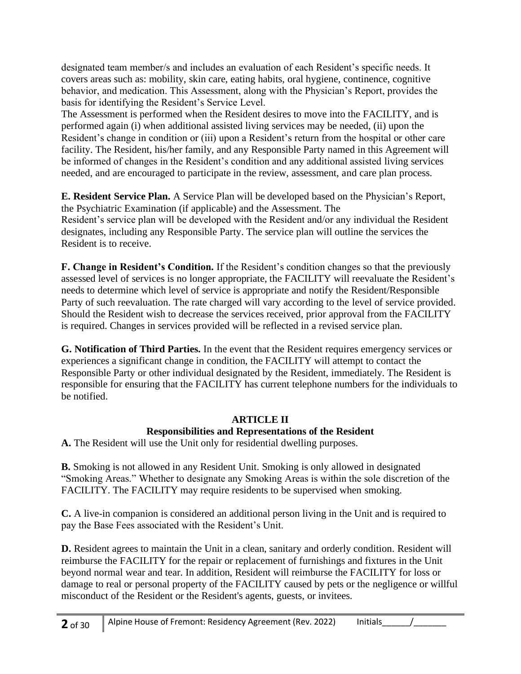designated team member/s and includes an evaluation of each Resident's specific needs. It covers areas such as: mobility, skin care, eating habits, oral hygiene, continence, cognitive behavior, and medication. This Assessment, along with the Physician's Report, provides the basis for identifying the Resident's Service Level.

The Assessment is performed when the Resident desires to move into the FACILITY, and is performed again (i) when additional assisted living services may be needed, (ii) upon the Resident's change in condition or (iii) upon a Resident's return from the hospital or other care facility. The Resident, his/her family, and any Responsible Party named in this Agreement will be informed of changes in the Resident's condition and any additional assisted living services needed, and are encouraged to participate in the review, assessment, and care plan process.

**E. Resident Service Plan.** A Service Plan will be developed based on the Physician's Report, the Psychiatric Examination (if applicable) and the Assessment. The Resident's service plan will be developed with the Resident and/or any individual the Resident designates, including any Responsible Party. The service plan will outline the services the Resident is to receive.

**F. Change in Resident's Condition.** If the Resident's condition changes so that the previously assessed level of services is no longer appropriate, the FACILITY will reevaluate the Resident's needs to determine which level of service is appropriate and notify the Resident/Responsible Party of such reevaluation. The rate charged will vary according to the level of service provided. Should the Resident wish to decrease the services received, prior approval from the FACILITY is required. Changes in services provided will be reflected in a revised service plan.

**G. Notification of Third Parties.** In the event that the Resident requires emergency services or experiences a significant change in condition, the FACILITY will attempt to contact the Responsible Party or other individual designated by the Resident, immediately. The Resident is responsible for ensuring that the FACILITY has current telephone numbers for the individuals to be notified.

#### **ARTICLE II Responsibilities and Representations of the Resident**

**A.** The Resident will use the Unit only for residential dwelling purposes.

**B.** Smoking is not allowed in any Resident Unit. Smoking is only allowed in designated "Smoking Areas." Whether to designate any Smoking Areas is within the sole discretion of the FACILITY. The FACILITY may require residents to be supervised when smoking.

**C.** A live-in companion is considered an additional person living in the Unit and is required to pay the Base Fees associated with the Resident's Unit.

**D.** Resident agrees to maintain the Unit in a clean, sanitary and orderly condition. Resident will reimburse the FACILITY for the repair or replacement of furnishings and fixtures in the Unit beyond normal wear and tear. In addition, Resident will reimburse the FACILITY for loss or damage to real or personal property of the FACILITY caused by pets or the negligence or willful misconduct of the Resident or the Resident's agents, guests, or invitees.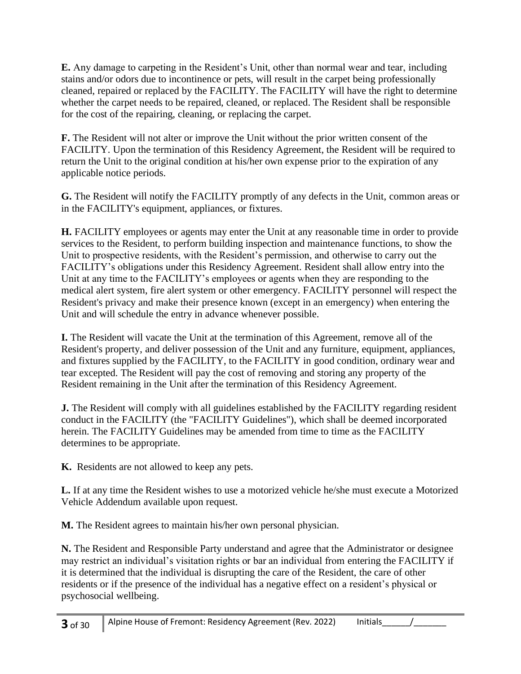**E.** Any damage to carpeting in the Resident's Unit, other than normal wear and tear, including stains and/or odors due to incontinence or pets, will result in the carpet being professionally cleaned, repaired or replaced by the FACILITY. The FACILITY will have the right to determine whether the carpet needs to be repaired, cleaned, or replaced. The Resident shall be responsible for the cost of the repairing, cleaning, or replacing the carpet.

**F.** The Resident will not alter or improve the Unit without the prior written consent of the FACILITY. Upon the termination of this Residency Agreement, the Resident will be required to return the Unit to the original condition at his/her own expense prior to the expiration of any applicable notice periods.

**G.** The Resident will notify the FACILITY promptly of any defects in the Unit, common areas or in the FACILITY's equipment, appliances, or fixtures.

**H.** FACILITY employees or agents may enter the Unit at any reasonable time in order to provide services to the Resident, to perform building inspection and maintenance functions, to show the Unit to prospective residents, with the Resident's permission, and otherwise to carry out the FACILITY's obligations under this Residency Agreement. Resident shall allow entry into the Unit at any time to the FACILITY's employees or agents when they are responding to the medical alert system, fire alert system or other emergency. FACILITY personnel will respect the Resident's privacy and make their presence known (except in an emergency) when entering the Unit and will schedule the entry in advance whenever possible.

**I.** The Resident will vacate the Unit at the termination of this Agreement, remove all of the Resident's property, and deliver possession of the Unit and any furniture, equipment, appliances, and fixtures supplied by the FACILITY, to the FACILITY in good condition, ordinary wear and tear excepted. The Resident will pay the cost of removing and storing any property of the Resident remaining in the Unit after the termination of this Residency Agreement.

**J.** The Resident will comply with all guidelines established by the FACILITY regarding resident conduct in the FACILITY (the "FACILITY Guidelines"), which shall be deemed incorporated herein. The FACILITY Guidelines may be amended from time to time as the FACILITY determines to be appropriate.

**K.** Residents are not allowed to keep any pets.

**L.** If at any time the Resident wishes to use a motorized vehicle he/she must execute a Motorized Vehicle Addendum available upon request.

**M.** The Resident agrees to maintain his/her own personal physician.

**N.** The Resident and Responsible Party understand and agree that the Administrator or designee may restrict an individual's visitation rights or bar an individual from entering the FACILITY if it is determined that the individual is disrupting the care of the Resident, the care of other residents or if the presence of the individual has a negative effect on a resident's physical or psychosocial wellbeing.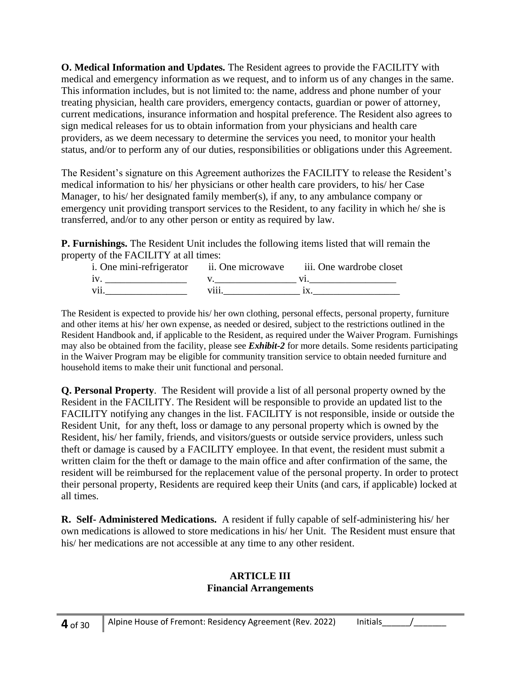**O. Medical Information and Updates.** The Resident agrees to provide the FACILITY with medical and emergency information as we request, and to inform us of any changes in the same. This information includes, but is not limited to: the name, address and phone number of your treating physician, health care providers, emergency contacts, guardian or power of attorney, current medications, insurance information and hospital preference. The Resident also agrees to sign medical releases for us to obtain information from your physicians and health care providers, as we deem necessary to determine the services you need, to monitor your health status, and/or to perform any of our duties, responsibilities or obligations under this Agreement.

The Resident's signature on this Agreement authorizes the FACILITY to release the Resident's medical information to his/ her physicians or other health care providers, to his/ her Case Manager, to his/ her designated family member(s), if any, to any ambulance company or emergency unit providing transport services to the Resident, to any facility in which he/ she is transferred, and/or to any other person or entity as required by law.

**P. Furnishings.** The Resident Unit includes the following items listed that will remain the property of the FACILITY at all times:

| i. One mini-refrigerator ii. One microwave |   | iii. One wardrobe closet |
|--------------------------------------------|---|--------------------------|
| 1V                                         |   |                          |
| V11                                        | . |                          |

The Resident is expected to provide his/ her own clothing, personal effects, personal property, furniture and other items at his/ her own expense, as needed or desired, subject to the restrictions outlined in the Resident Handbook and, if applicable to the Resident, as required under the Waiver Program. Furnishings may also be obtained from the facility, please see *Exhibit-2* for more details. Some residents participating in the Waiver Program may be eligible for community transition service to obtain needed furniture and household items to make their unit functional and personal.

**Q. Personal Property**. The Resident will provide a list of all personal property owned by the Resident in the FACILITY. The Resident will be responsible to provide an updated list to the FACILITY notifying any changes in the list. FACILITY is not responsible, inside or outside the Resident Unit, for any theft, loss or damage to any personal property which is owned by the Resident, his/ her family, friends, and visitors/guests or outside service providers, unless such theft or damage is caused by a FACILITY employee. In that event, the resident must submit a written claim for the theft or damage to the main office and after confirmation of the same, the resident will be reimbursed for the replacement value of the personal property. In order to protect their personal property, Residents are required keep their Units (and cars, if applicable) locked at all times.

**R. Self- Administered Medications.** A resident if fully capable of self-administering his/ her own medications is allowed to store medications in his/ her Unit. The Resident must ensure that his/ her medications are not accessible at any time to any other resident.

#### **ARTICLE III Financial Arrangements**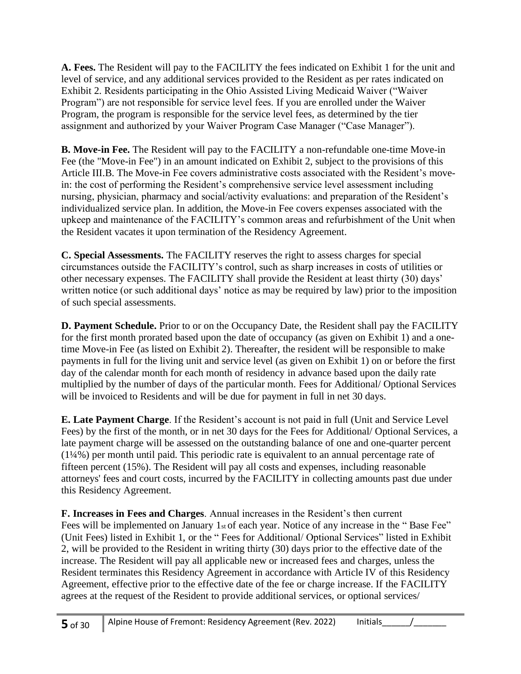**A. Fees.** The Resident will pay to the FACILITY the fees indicated on Exhibit 1 for the unit and level of service, and any additional services provided to the Resident as per rates indicated on Exhibit 2. Residents participating in the Ohio Assisted Living Medicaid Waiver ("Waiver Program") are not responsible for service level fees. If you are enrolled under the Waiver Program, the program is responsible for the service level fees, as determined by the tier assignment and authorized by your Waiver Program Case Manager ("Case Manager").

**B. Move-in Fee.** The Resident will pay to the FACILITY a non-refundable one-time Move-in Fee (the "Move-in Fee") in an amount indicated on Exhibit 2, subject to the provisions of this Article III.B. The Move-in Fee covers administrative costs associated with the Resident's movein: the cost of performing the Resident's comprehensive service level assessment including nursing, physician, pharmacy and social/activity evaluations: and preparation of the Resident's individualized service plan. In addition, the Move-in Fee covers expenses associated with the upkeep and maintenance of the FACILITY's common areas and refurbishment of the Unit when the Resident vacates it upon termination of the Residency Agreement.

**C. Special Assessments.** The FACILITY reserves the right to assess charges for special circumstances outside the FACILITY's control, such as sharp increases in costs of utilities or other necessary expenses. The FACILITY shall provide the Resident at least thirty (30) days' written notice (or such additional days' notice as may be required by law) prior to the imposition of such special assessments.

**D. Payment Schedule.** Prior to or on the Occupancy Date, the Resident shall pay the FACILITY for the first month prorated based upon the date of occupancy (as given on Exhibit 1) and a onetime Move-in Fee (as listed on Exhibit 2). Thereafter, the resident will be responsible to make payments in full for the living unit and service level (as given on Exhibit 1) on or before the first day of the calendar month for each month of residency in advance based upon the daily rate multiplied by the number of days of the particular month. Fees for Additional/ Optional Services will be invoiced to Residents and will be due for payment in full in net 30 days.

**E. Late Payment Charge**. If the Resident's account is not paid in full (Unit and Service Level Fees) by the first of the month, or in net 30 days for the Fees for Additional/ Optional Services, a late payment charge will be assessed on the outstanding balance of one and one-quarter percent (1¼%) per month until paid. This periodic rate is equivalent to an annual percentage rate of fifteen percent (15%). The Resident will pay all costs and expenses, including reasonable attorneys' fees and court costs, incurred by the FACILITY in collecting amounts past due under this Residency Agreement.

**F. Increases in Fees and Charges**. Annual increases in the Resident's then current Fees will be implemented on January 1st of each year. Notice of any increase in the "Base Fee" (Unit Fees) listed in Exhibit 1, or the " Fees for Additional/ Optional Services" listed in Exhibit 2, will be provided to the Resident in writing thirty (30) days prior to the effective date of the increase. The Resident will pay all applicable new or increased fees and charges, unless the Resident terminates this Residency Agreement in accordance with Article IV of this Residency Agreement, effective prior to the effective date of the fee or charge increase. If the FACILITY agrees at the request of the Resident to provide additional services, or optional services/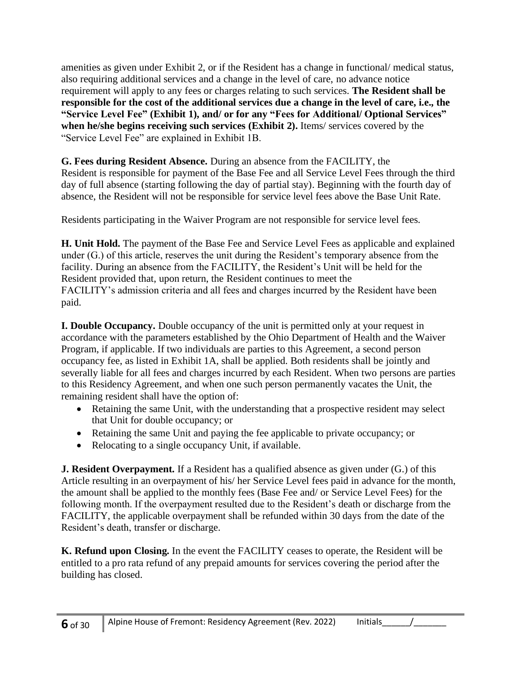amenities as given under Exhibit 2, or if the Resident has a change in functional/ medical status, also requiring additional services and a change in the level of care, no advance notice requirement will apply to any fees or charges relating to such services. **The Resident shall be responsible for the cost of the additional services due a change in the level of care, i.e., the "Service Level Fee" (Exhibit 1), and/ or for any "Fees for Additional/ Optional Services" when he/she begins receiving such services (Exhibit 2).** Items/ services covered by the "Service Level Fee" are explained in Exhibit 1B.

**G. Fees during Resident Absence.** During an absence from the FACILITY, the Resident is responsible for payment of the Base Fee and all Service Level Fees through the third day of full absence (starting following the day of partial stay). Beginning with the fourth day of absence, the Resident will not be responsible for service level fees above the Base Unit Rate.

Residents participating in the Waiver Program are not responsible for service level fees.

**H. Unit Hold.** The payment of the Base Fee and Service Level Fees as applicable and explained under (G.) of this article, reserves the unit during the Resident's temporary absence from the facility. During an absence from the FACILITY, the Resident's Unit will be held for the Resident provided that, upon return, the Resident continues to meet the FACILITY's admission criteria and all fees and charges incurred by the Resident have been paid.

**I. Double Occupancy.** Double occupancy of the unit is permitted only at your request in accordance with the parameters established by the Ohio Department of Health and the Waiver Program, if applicable. If two individuals are parties to this Agreement, a second person occupancy fee, as listed in Exhibit 1A, shall be applied. Both residents shall be jointly and severally liable for all fees and charges incurred by each Resident. When two persons are parties to this Residency Agreement, and when one such person permanently vacates the Unit, the remaining resident shall have the option of:

- Retaining the same Unit, with the understanding that a prospective resident may select that Unit for double occupancy; or
- Retaining the same Unit and paying the fee applicable to private occupancy; or
- Relocating to a single occupancy Unit, if available.

**J. Resident Overpayment.** If a Resident has a qualified absence as given under (G.) of this Article resulting in an overpayment of his/ her Service Level fees paid in advance for the month, the amount shall be applied to the monthly fees (Base Fee and/ or Service Level Fees) for the following month. If the overpayment resulted due to the Resident's death or discharge from the FACILITY, the applicable overpayment shall be refunded within 30 days from the date of the Resident's death, transfer or discharge.

**K. Refund upon Closing.** In the event the FACILITY ceases to operate, the Resident will be entitled to a pro rata refund of any prepaid amounts for services covering the period after the building has closed.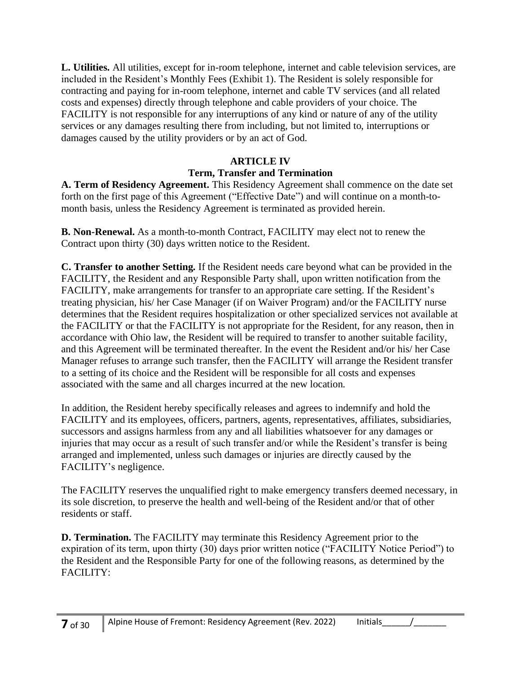**L. Utilities.** All utilities, except for in-room telephone, internet and cable television services, are included in the Resident's Monthly Fees (Exhibit 1). The Resident is solely responsible for contracting and paying for in-room telephone, internet and cable TV services (and all related costs and expenses) directly through telephone and cable providers of your choice. The FACILITY is not responsible for any interruptions of any kind or nature of any of the utility services or any damages resulting there from including, but not limited to, interruptions or damages caused by the utility providers or by an act of God.

#### **ARTICLE IV Term, Transfer and Termination**

**A. Term of Residency Agreement.** This Residency Agreement shall commence on the date set forth on the first page of this Agreement ("Effective Date") and will continue on a month-tomonth basis, unless the Residency Agreement is terminated as provided herein.

**B. Non-Renewal.** As a month-to-month Contract, FACILITY may elect not to renew the Contract upon thirty (30) days written notice to the Resident.

**C. Transfer to another Setting.** If the Resident needs care beyond what can be provided in the FACILITY, the Resident and any Responsible Party shall, upon written notification from the FACILITY, make arrangements for transfer to an appropriate care setting. If the Resident's treating physician, his/ her Case Manager (if on Waiver Program) and/or the FACILITY nurse determines that the Resident requires hospitalization or other specialized services not available at the FACILITY or that the FACILITY is not appropriate for the Resident, for any reason, then in accordance with Ohio law, the Resident will be required to transfer to another suitable facility, and this Agreement will be terminated thereafter. In the event the Resident and/or his/ her Case Manager refuses to arrange such transfer, then the FACILITY will arrange the Resident transfer to a setting of its choice and the Resident will be responsible for all costs and expenses associated with the same and all charges incurred at the new location.

In addition, the Resident hereby specifically releases and agrees to indemnify and hold the FACILITY and its employees, officers, partners, agents, representatives, affiliates, subsidiaries, successors and assigns harmless from any and all liabilities whatsoever for any damages or injuries that may occur as a result of such transfer and/or while the Resident's transfer is being arranged and implemented, unless such damages or injuries are directly caused by the FACILITY's negligence.

The FACILITY reserves the unqualified right to make emergency transfers deemed necessary, in its sole discretion, to preserve the health and well-being of the Resident and/or that of other residents or staff.

**D. Termination.** The FACILITY may terminate this Residency Agreement prior to the expiration of its term, upon thirty (30) days prior written notice ("FACILITY Notice Period") to the Resident and the Responsible Party for one of the following reasons, as determined by the FACILITY: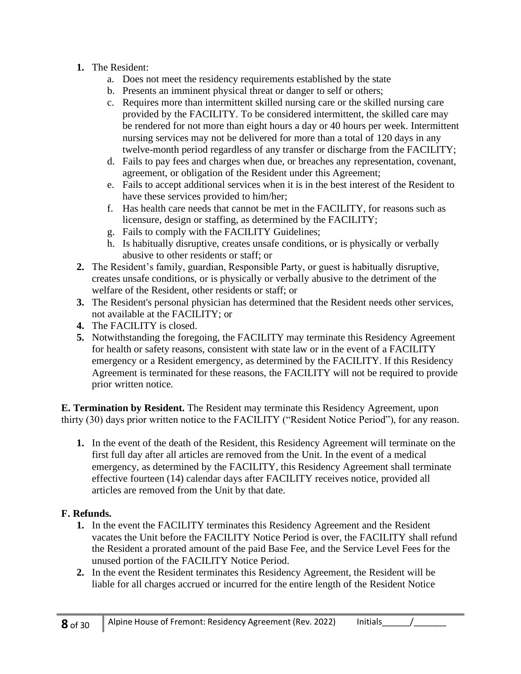## **1.** The Resident:

- a. Does not meet the residency requirements established by the state
- b. Presents an imminent physical threat or danger to self or others;
- c. Requires more than intermittent skilled nursing care or the skilled nursing care provided by the FACILITY. To be considered intermittent, the skilled care may be rendered for not more than eight hours a day or 40 hours per week. Intermittent nursing services may not be delivered for more than a total of 120 days in any twelve-month period regardless of any transfer or discharge from the FACILITY;
- d. Fails to pay fees and charges when due, or breaches any representation, covenant, agreement, or obligation of the Resident under this Agreement;
- e. Fails to accept additional services when it is in the best interest of the Resident to have these services provided to him/her;
- f. Has health care needs that cannot be met in the FACILITY, for reasons such as licensure, design or staffing, as determined by the FACILITY;
- g. Fails to comply with the FACILITY Guidelines;
- h. Is habitually disruptive, creates unsafe conditions, or is physically or verbally abusive to other residents or staff; or
- **2.** The Resident's family, guardian, Responsible Party, or guest is habitually disruptive, creates unsafe conditions, or is physically or verbally abusive to the detriment of the welfare of the Resident, other residents or staff; or
- **3.** The Resident's personal physician has determined that the Resident needs other services, not available at the FACILITY; or
- **4.** The FACILITY is closed.
- **5.** Notwithstanding the foregoing, the FACILITY may terminate this Residency Agreement for health or safety reasons, consistent with state law or in the event of a FACILITY emergency or a Resident emergency, as determined by the FACILITY. If this Residency Agreement is terminated for these reasons, the FACILITY will not be required to provide prior written notice.

**E. Termination by Resident.** The Resident may terminate this Residency Agreement, upon thirty (30) days prior written notice to the FACILITY ("Resident Notice Period"), for any reason.

**1.** In the event of the death of the Resident, this Residency Agreement will terminate on the first full day after all articles are removed from the Unit. In the event of a medical emergency, as determined by the FACILITY, this Residency Agreement shall terminate effective fourteen (14) calendar days after FACILITY receives notice, provided all articles are removed from the Unit by that date.

## **F. Refunds.**

- **1.** In the event the FACILITY terminates this Residency Agreement and the Resident vacates the Unit before the FACILITY Notice Period is over, the FACILITY shall refund the Resident a prorated amount of the paid Base Fee, and the Service Level Fees for the unused portion of the FACILITY Notice Period.
- **2.** In the event the Resident terminates this Residency Agreement, the Resident will be liable for all charges accrued or incurred for the entire length of the Resident Notice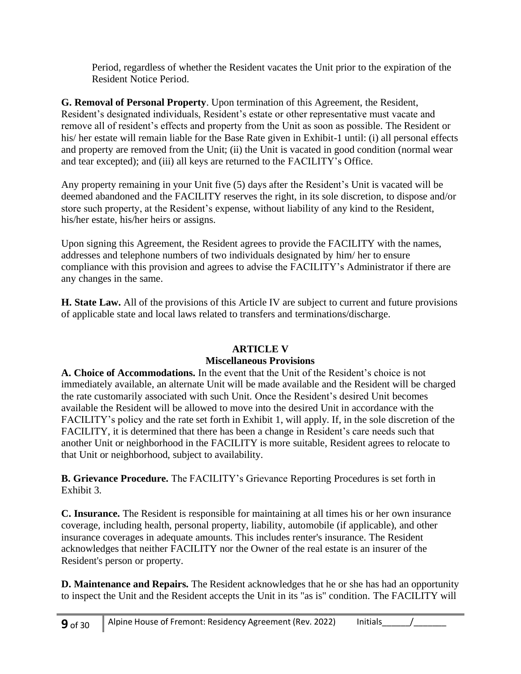Period, regardless of whether the Resident vacates the Unit prior to the expiration of the Resident Notice Period.

**G. Removal of Personal Property**. Upon termination of this Agreement, the Resident, Resident's designated individuals, Resident's estate or other representative must vacate and remove all of resident's effects and property from the Unit as soon as possible. The Resident or his/ her estate will remain liable for the Base Rate given in Exhibit-1 until: (i) all personal effects and property are removed from the Unit; (ii) the Unit is vacated in good condition (normal wear and tear excepted); and (iii) all keys are returned to the FACILITY's Office.

Any property remaining in your Unit five (5) days after the Resident's Unit is vacated will be deemed abandoned and the FACILITY reserves the right, in its sole discretion, to dispose and/or store such property, at the Resident's expense, without liability of any kind to the Resident, his/her estate, his/her heirs or assigns.

Upon signing this Agreement, the Resident agrees to provide the FACILITY with the names, addresses and telephone numbers of two individuals designated by him/ her to ensure compliance with this provision and agrees to advise the FACILITY's Administrator if there are any changes in the same.

**H. State Law.** All of the provisions of this Article IV are subject to current and future provisions of applicable state and local laws related to transfers and terminations/discharge.

## **ARTICLE V**

## **Miscellaneous Provisions**

**A. Choice of Accommodations.** In the event that the Unit of the Resident's choice is not immediately available, an alternate Unit will be made available and the Resident will be charged the rate customarily associated with such Unit. Once the Resident's desired Unit becomes available the Resident will be allowed to move into the desired Unit in accordance with the FACILITY's policy and the rate set forth in Exhibit 1, will apply. If, in the sole discretion of the FACILITY, it is determined that there has been a change in Resident's care needs such that another Unit or neighborhood in the FACILITY is more suitable, Resident agrees to relocate to that Unit or neighborhood, subject to availability.

**B. Grievance Procedure.** The FACILITY's Grievance Reporting Procedures is set forth in Exhibit 3.

**C. Insurance.** The Resident is responsible for maintaining at all times his or her own insurance coverage, including health, personal property, liability, automobile (if applicable), and other insurance coverages in adequate amounts. This includes renter's insurance. The Resident acknowledges that neither FACILITY nor the Owner of the real estate is an insurer of the Resident's person or property.

**D. Maintenance and Repairs.** The Resident acknowledges that he or she has had an opportunity to inspect the Unit and the Resident accepts the Unit in its "as is" condition. The FACILITY will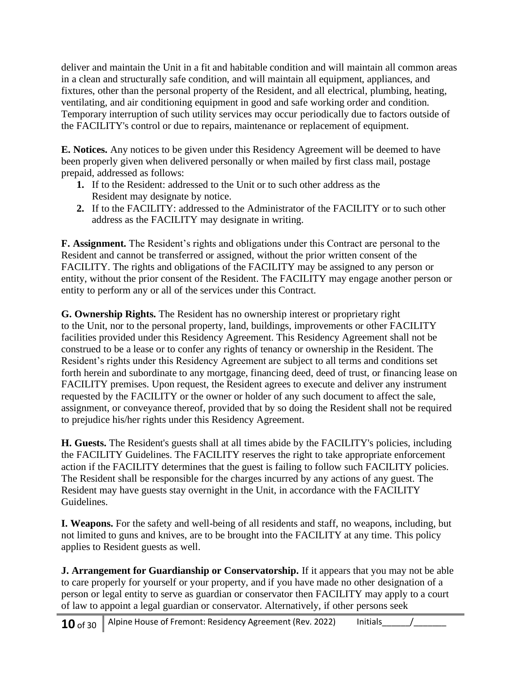deliver and maintain the Unit in a fit and habitable condition and will maintain all common areas in a clean and structurally safe condition, and will maintain all equipment, appliances, and fixtures, other than the personal property of the Resident, and all electrical, plumbing, heating, ventilating, and air conditioning equipment in good and safe working order and condition. Temporary interruption of such utility services may occur periodically due to factors outside of the FACILITY's control or due to repairs, maintenance or replacement of equipment.

**E. Notices.** Any notices to be given under this Residency Agreement will be deemed to have been properly given when delivered personally or when mailed by first class mail, postage prepaid, addressed as follows:

- **1.** If to the Resident: addressed to the Unit or to such other address as the Resident may designate by notice.
- **2.** If to the FACILITY: addressed to the Administrator of the FACILITY or to such other address as the FACILITY may designate in writing.

**F. Assignment.** The Resident's rights and obligations under this Contract are personal to the Resident and cannot be transferred or assigned, without the prior written consent of the FACILITY. The rights and obligations of the FACILITY may be assigned to any person or entity, without the prior consent of the Resident. The FACILITY may engage another person or entity to perform any or all of the services under this Contract.

**G. Ownership Rights.** The Resident has no ownership interest or proprietary right to the Unit, nor to the personal property, land, buildings, improvements or other FACILITY facilities provided under this Residency Agreement. This Residency Agreement shall not be construed to be a lease or to confer any rights of tenancy or ownership in the Resident. The Resident's rights under this Residency Agreement are subject to all terms and conditions set forth herein and subordinate to any mortgage, financing deed, deed of trust, or financing lease on FACILITY premises. Upon request, the Resident agrees to execute and deliver any instrument requested by the FACILITY or the owner or holder of any such document to affect the sale, assignment, or conveyance thereof, provided that by so doing the Resident shall not be required to prejudice his/her rights under this Residency Agreement.

**H. Guests.** The Resident's guests shall at all times abide by the FACILITY's policies, including the FACILITY Guidelines. The FACILITY reserves the right to take appropriate enforcement action if the FACILITY determines that the guest is failing to follow such FACILITY policies. The Resident shall be responsible for the charges incurred by any actions of any guest. The Resident may have guests stay overnight in the Unit, in accordance with the FACILITY Guidelines.

**I. Weapons.** For the safety and well-being of all residents and staff, no weapons, including, but not limited to guns and knives, are to be brought into the FACILITY at any time. This policy applies to Resident guests as well.

**J. Arrangement for Guardianship or Conservatorship.** If it appears that you may not be able to care properly for yourself or your property, and if you have made no other designation of a person or legal entity to serve as guardian or conservator then FACILITY may apply to a court of law to appoint a legal guardian or conservator. Alternatively, if other persons seek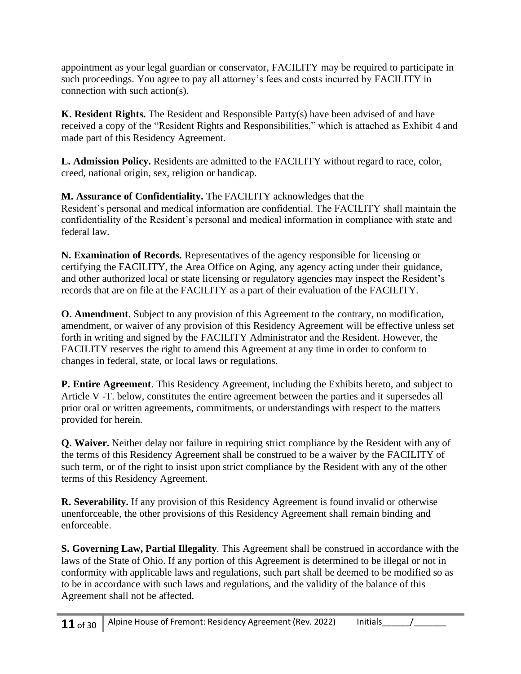appointment as your legal guardian or conservator, FACILITY may be required to participate in such proceedings. You agree to pay all attorney's fees and costs incurred by FACILITY in connection with such action(s).

**K. Resident Rights.** The Resident and Responsible Party(s) have been advised of and have received a copy of the "Resident Rights and Responsibilities," which is attached as Exhibit 4 and made part of this Residency Agreement.

**L. Admission Policy.** Residents are admitted to the FACILITY without regard to race, color, creed, national origin, sex, religion or handicap.

**M. Assurance of Confidentiality.** The FACILITY acknowledges that the Resident's personal and medical information are confidential. The FACILITY shall maintain the confidentiality of the Resident's personal and medical information in compliance with state and federal law.

**N. Examination of Records.** Representatives of the agency responsible for licensing or certifying the FACILITY, the Area Office on Aging, any agency acting under their guidance, and other authorized local or state licensing or regulatory agencies may inspect the Resident's records that are on file at the FACILITY as a part of their evaluation of the FACILITY.

**O. Amendment**. Subject to any provision of this Agreement to the contrary, no modification, amendment, or waiver of any provision of this Residency Agreement will be effective unless set forth in writing and signed by the FACILITY Administrator and the Resident. However, the FACILITY reserves the right to amend this Agreement at any time in order to conform to changes in federal, state, or local laws or regulations.

**P. Entire Agreement**. This Residency Agreement, including the Exhibits hereto, and subject to Article V -T. below, constitutes the entire agreement between the parties and it supersedes all prior oral or written agreements, commitments, or understandings with respect to the matters provided for herein.

**Q. Waiver.** Neither delay nor failure in requiring strict compliance by the Resident with any of the terms of this Residency Agreement shall be construed to be a waiver by the FACILITY of such term, or of the right to insist upon strict compliance by the Resident with any of the other terms of this Residency Agreement.

**R. Severability.** If any provision of this Residency Agreement is found invalid or otherwise unenforceable, the other provisions of this Residency Agreement shall remain binding and enforceable.

**S. Governing Law, Partial Illegality**. This Agreement shall be construed in accordance with the laws of the State of Ohio. If any portion of this Agreement is determined to be illegal or not in conformity with applicable laws and regulations, such part shall be deemed to be modified so as to be in accordance with such laws and regulations, and the validity of the balance of this Agreement shall not be affected.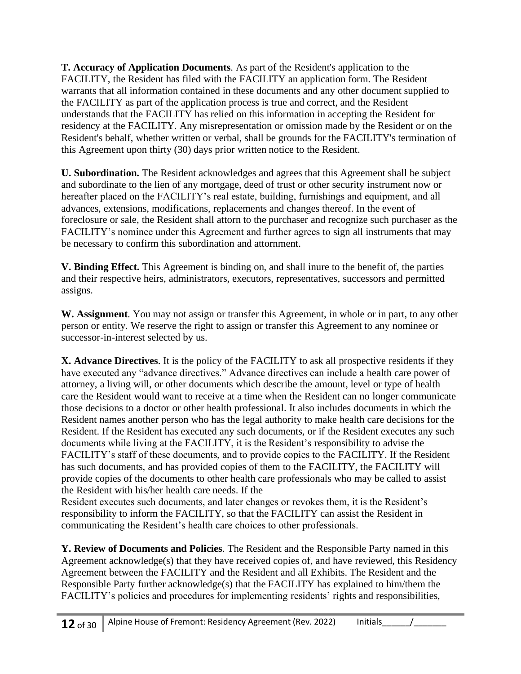**T. Accuracy of Application Documents**. As part of the Resident's application to the FACILITY, the Resident has filed with the FACILITY an application form. The Resident warrants that all information contained in these documents and any other document supplied to the FACILITY as part of the application process is true and correct, and the Resident understands that the FACILITY has relied on this information in accepting the Resident for residency at the FACILITY. Any misrepresentation or omission made by the Resident or on the Resident's behalf, whether written or verbal, shall be grounds for the FACILITY's termination of this Agreement upon thirty (30) days prior written notice to the Resident.

**U. Subordination.** The Resident acknowledges and agrees that this Agreement shall be subject and subordinate to the lien of any mortgage, deed of trust or other security instrument now or hereafter placed on the FACILITY's real estate, building, furnishings and equipment, and all advances, extensions, modifications, replacements and changes thereof. In the event of foreclosure or sale, the Resident shall attorn to the purchaser and recognize such purchaser as the FACILITY's nominee under this Agreement and further agrees to sign all instruments that may be necessary to confirm this subordination and attornment.

**V. Binding Effect.** This Agreement is binding on, and shall inure to the benefit of, the parties and their respective heirs, administrators, executors, representatives, successors and permitted assigns.

**W. Assignment**. You may not assign or transfer this Agreement, in whole or in part, to any other person or entity. We reserve the right to assign or transfer this Agreement to any nominee or successor-in-interest selected by us.

**X. Advance Directives**. It is the policy of the FACILITY to ask all prospective residents if they have executed any "advance directives." Advance directives can include a health care power of attorney, a living will, or other documents which describe the amount, level or type of health care the Resident would want to receive at a time when the Resident can no longer communicate those decisions to a doctor or other health professional. It also includes documents in which the Resident names another person who has the legal authority to make health care decisions for the Resident. If the Resident has executed any such documents, or if the Resident executes any such documents while living at the FACILITY, it is the Resident's responsibility to advise the FACILITY's staff of these documents, and to provide copies to the FACILITY. If the Resident has such documents, and has provided copies of them to the FACILITY, the FACILITY will provide copies of the documents to other health care professionals who may be called to assist the Resident with his/her health care needs. If the

Resident executes such documents, and later changes or revokes them, it is the Resident's responsibility to inform the FACILITY, so that the FACILITY can assist the Resident in communicating the Resident's health care choices to other professionals.

**Y. Review of Documents and Policies**. The Resident and the Responsible Party named in this Agreement acknowledge(s) that they have received copies of, and have reviewed, this Residency Agreement between the FACILITY and the Resident and all Exhibits. The Resident and the Responsible Party further acknowledge(s) that the FACILITY has explained to him/them the FACILITY's policies and procedures for implementing residents' rights and responsibilities,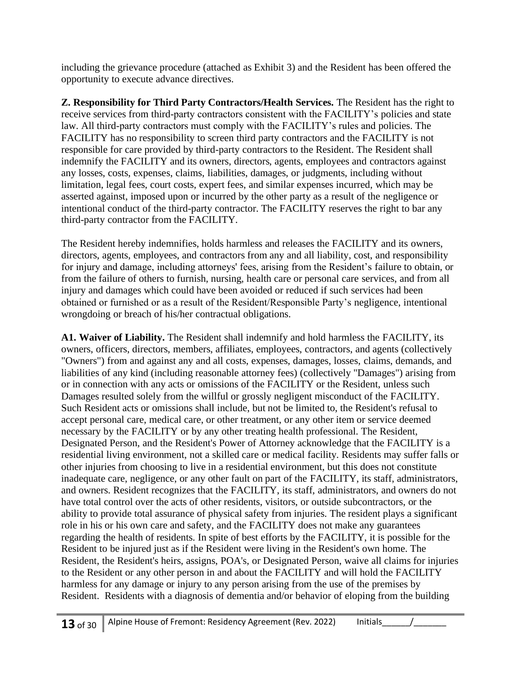including the grievance procedure (attached as Exhibit 3) and the Resident has been offered the opportunity to execute advance directives.

**Z. Responsibility for Third Party Contractors/Health Services.** The Resident has the right to receive services from third-party contractors consistent with the FACILITY's policies and state law. All third-party contractors must comply with the FACILITY's rules and policies. The FACILITY has no responsibility to screen third party contractors and the FACILITY is not responsible for care provided by third-party contractors to the Resident. The Resident shall indemnify the FACILITY and its owners, directors, agents, employees and contractors against any losses, costs, expenses, claims, liabilities, damages, or judgments, including without limitation, legal fees, court costs, expert fees, and similar expenses incurred, which may be asserted against, imposed upon or incurred by the other party as a result of the negligence or intentional conduct of the third-party contractor. The FACILITY reserves the right to bar any third-party contractor from the FACILITY.

The Resident hereby indemnifies, holds harmless and releases the FACILITY and its owners, directors, agents, employees, and contractors from any and all liability, cost, and responsibility for injury and damage, including attorneys' fees, arising from the Resident's failure to obtain, or from the failure of others to furnish, nursing, health care or personal care services, and from all injury and damages which could have been avoided or reduced if such services had been obtained or furnished or as a result of the Resident/Responsible Party's negligence, intentional wrongdoing or breach of his/her contractual obligations.

**A1. Waiver of Liability.** The Resident shall indemnify and hold harmless the FACILITY, its owners, officers, directors, members, affiliates, employees, contractors, and agents (collectively "Owners") from and against any and all costs, expenses, damages, losses, claims, demands, and liabilities of any kind (including reasonable attorney fees) (collectively "Damages") arising from or in connection with any acts or omissions of the FACILITY or the Resident, unless such Damages resulted solely from the willful or grossly negligent misconduct of the FACILITY. Such Resident acts or omissions shall include, but not be limited to, the Resident's refusal to accept personal care, medical care, or other treatment, or any other item or service deemed necessary by the FACILITY or by any other treating health professional. The Resident, Designated Person, and the Resident's Power of Attorney acknowledge that the FACILITY is a residential living environment, not a skilled care or medical facility. Residents may suffer falls or other injuries from choosing to live in a residential environment, but this does not constitute inadequate care, negligence, or any other fault on part of the FACILITY, its staff, administrators, and owners. Resident recognizes that the FACILITY, its staff, administrators, and owners do not have total control over the acts of other residents, visitors, or outside subcontractors, or the ability to provide total assurance of physical safety from injuries. The resident plays a significant role in his or his own care and safety, and the FACILITY does not make any guarantees regarding the health of residents. In spite of best efforts by the FACILITY, it is possible for the Resident to be injured just as if the Resident were living in the Resident's own home. The Resident, the Resident's heirs, assigns, POA's, or Designated Person, waive all claims for injuries to the Resident or any other person in and about the FACILITY and will hold the FACILITY harmless for any damage or injury to any person arising from the use of the premises by Resident. Residents with a diagnosis of dementia and/or behavior of eloping from the building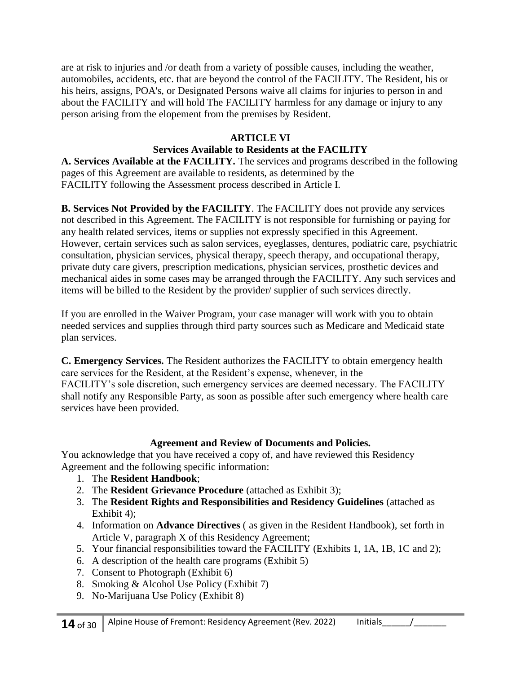are at risk to injuries and /or death from a variety of possible causes, including the weather, automobiles, accidents, etc. that are beyond the control of the FACILITY. The Resident, his or his heirs, assigns, POA's, or Designated Persons waive all claims for injuries to person in and about the FACILITY and will hold The FACILITY harmless for any damage or injury to any person arising from the elopement from the premises by Resident.

## **ARTICLE VI**

## **Services Available to Residents at the FACILITY**

**A. Services Available at the FACILITY.** The services and programs described in the following pages of this Agreement are available to residents, as determined by the FACILITY following the Assessment process described in Article I.

**B. Services Not Provided by the FACILITY**. The FACILITY does not provide any services not described in this Agreement. The FACILITY is not responsible for furnishing or paying for any health related services, items or supplies not expressly specified in this Agreement. However, certain services such as salon services, eyeglasses, dentures, podiatric care, psychiatric consultation, physician services, physical therapy, speech therapy, and occupational therapy, private duty care givers, prescription medications, physician services, prosthetic devices and mechanical aides in some cases may be arranged through the FACILITY. Any such services and items will be billed to the Resident by the provider/ supplier of such services directly.

If you are enrolled in the Waiver Program, your case manager will work with you to obtain needed services and supplies through third party sources such as Medicare and Medicaid state plan services.

**C. Emergency Services.** The Resident authorizes the FACILITY to obtain emergency health care services for the Resident, at the Resident's expense, whenever, in the FACILITY's sole discretion, such emergency services are deemed necessary. The FACILITY shall notify any Responsible Party, as soon as possible after such emergency where health care services have been provided.

#### **Agreement and Review of Documents and Policies.**

You acknowledge that you have received a copy of, and have reviewed this Residency Agreement and the following specific information:

- 1. The **Resident Handbook**;
- 2. The **Resident Grievance Procedure** (attached as Exhibit 3);
- 3. The **Resident Rights and Responsibilities and Residency Guidelines** (attached as Exhibit 4):
- 4. Information on **Advance Directives** ( as given in the Resident Handbook), set forth in Article V, paragraph X of this Residency Agreement;
- 5. Your financial responsibilities toward the FACILITY (Exhibits 1, 1A, 1B, 1C and 2);
- 6. A description of the health care programs (Exhibit 5)
- 7. Consent to Photograph (Exhibit 6)
- 8. Smoking & Alcohol Use Policy (Exhibit 7)
- 9. No-Marijuana Use Policy (Exhibit 8)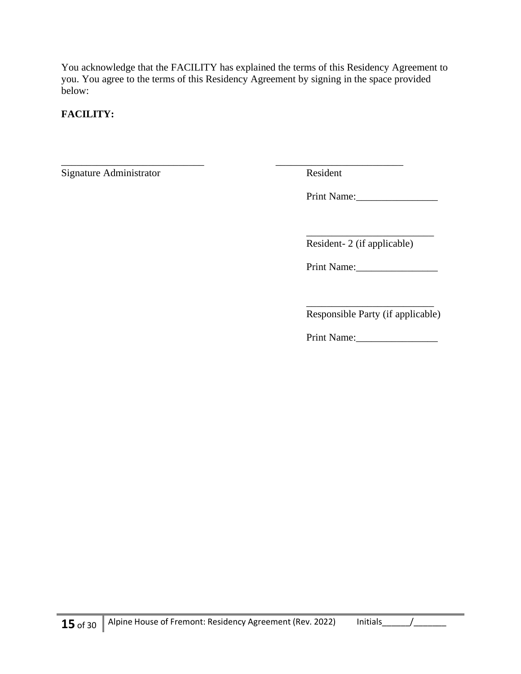You acknowledge that the FACILITY has explained the terms of this Residency Agreement to you. You agree to the terms of this Residency Agreement by signing in the space provided below:

## **FACILITY:**

Signature Administrator Resident

\_\_\_\_\_\_\_\_\_\_\_\_\_\_\_\_\_\_\_\_\_\_\_\_\_\_\_\_ \_\_\_\_\_\_\_\_\_\_\_\_\_\_\_\_\_\_\_\_\_\_\_\_\_

Print Name:\_\_\_\_\_\_\_\_\_\_\_\_\_\_\_\_

\_\_\_\_\_\_\_\_\_\_\_\_\_\_\_\_\_\_\_\_\_\_\_\_\_ Resident- 2 (if applicable)

Print Name:\_\_\_\_\_\_\_\_\_\_\_\_\_\_\_\_

\_\_\_\_\_\_\_\_\_\_\_\_\_\_\_\_\_\_\_\_\_\_\_\_\_ Responsible Party (if applicable)

Print Name: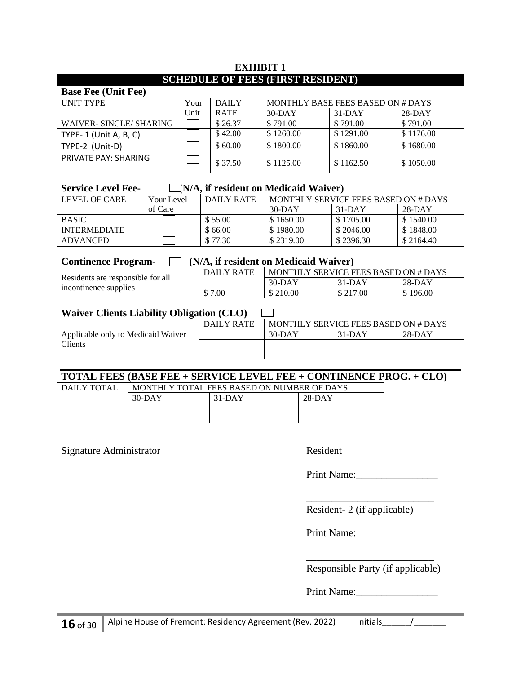#### **EXHIBIT 1 SCHEDULE OF FEES (FIRST RESIDENT)**

| <b>Base Fee (Unit Fee)</b> |      |             |           |                                   |           |  |
|----------------------------|------|-------------|-----------|-----------------------------------|-----------|--|
| <b>UNIT TYPE</b>           | Your | DAILY       |           | MONTHLY BASE FEES BASED ON # DAYS |           |  |
|                            | Unit | <b>RATE</b> | $30-DAY$  | $31-DAY$                          | $28-DAY$  |  |
| WAIVER-SINGLE/SHARING      |      | \$26.37     | \$791.00  | \$791.00                          | \$791.00  |  |
| TYPE- $1$ (Unit A, B, C)   |      | \$42.00     | \$1260.00 | \$1291.00                         | \$1176.00 |  |
| TYPE-2 (Unit-D)            |      | \$60.00     | \$1800.00 | \$1860.00                         | \$1680.00 |  |
| PRIVATE PAY: SHARING       |      | \$37.50     | \$1125.00 | \$1162.50                         | \$1050.00 |  |

#### **Service Level Fee-**  $\Box$  N/A, if resident on Medicaid Waiver)

| LEVEL OF CARE       | Your Level | DAILY RATE | MONTHLY SERVICE FEES BASED ON # DAYS |           |           |
|---------------------|------------|------------|--------------------------------------|-----------|-----------|
|                     | of Care    |            | $30-DAY$                             | $31-DAY$  | $28-DAY$  |
| <b>BASIC</b>        |            | \$55.00    | \$1650.00                            | \$1705.00 | \$1540.00 |
| <b>INTERMEDIATE</b> |            | \$66.00    | \$1980.00                            | \$2046.00 | \$1848.00 |
| ADVANCED            |            | \$77.30    | \$2319.00                            | \$2396.30 | \$2164.40 |

| (N/A, if resident on Medicaid Waiver)<br><b>Continence Program-</b> |            |                                      |          |          |
|---------------------------------------------------------------------|------------|--------------------------------------|----------|----------|
|                                                                     | DAILY RATE | MONTHLY SERVICE FEES BASED ON # DAYS |          |          |
| Residents are responsible for all<br>incontinence supplies          |            | $30-DAY$                             | $31-DAY$ | $28-DAY$ |
|                                                                     | \$7.00     | \$210.00                             | \$217.00 | \$196.00 |

#### Waiver Clients Liability Obligation (CLO)  $\Box$

| . <b>.</b><br>----                 |            |                                      |          |          |
|------------------------------------|------------|--------------------------------------|----------|----------|
|                                    | DAILY RATE | MONTHLY SERVICE FEES BASED ON # DAYS |          |          |
| Applicable only to Medicaid Waiver |            | $30-DAY$                             | $31-DAY$ | $28-DAY$ |
| Clients                            |            |                                      |          |          |
|                                    |            |                                      |          |          |

## **TOTAL FEES (BASE FEE + SERVICE LEVEL FEE + CONTINENCE PROG. + CLO)**

\_\_\_\_\_\_\_\_\_\_\_\_\_\_\_\_\_\_\_\_\_\_\_\_\_ \_\_\_\_\_\_\_\_\_\_\_\_\_\_\_\_\_\_\_\_\_\_\_\_\_

| DAILY TOTAL | MONTHLY TOTAL FEES BASED ON NUMBER OF DAYS |          |          |  |  |
|-------------|--------------------------------------------|----------|----------|--|--|
|             | $30-DAY$                                   | $31-DAY$ | $28-DAY$ |  |  |
|             |                                            |          |          |  |  |
|             |                                            |          |          |  |  |

Signature Administrator Resident

Print Name:

Resident- 2 (if applicable)

Print Name:

\_\_\_\_\_\_\_\_\_\_\_\_\_\_\_\_\_\_\_\_\_\_\_\_\_

\_\_\_\_\_\_\_\_\_\_\_\_\_\_\_\_\_\_\_\_\_\_\_\_\_ Responsible Party (if applicable)

Print Name:\_\_\_\_\_\_\_\_\_\_\_\_\_\_\_\_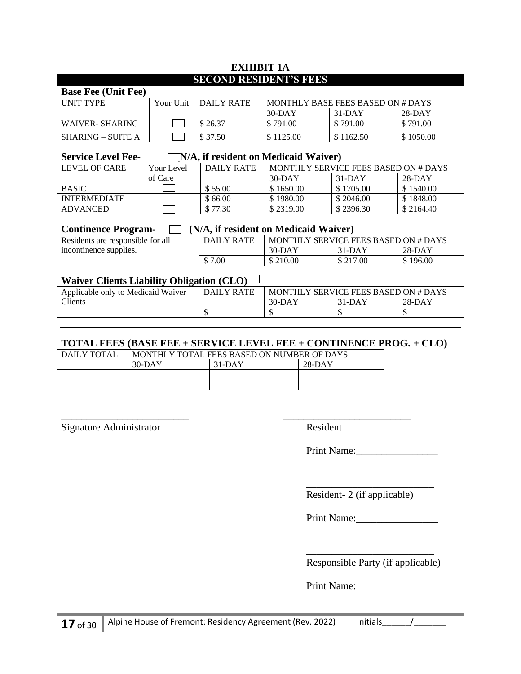#### **EXHIBIT 1A SECOND RESIDENT'S FEES**

## **Base Fee (Unit Fee)**

| <b>INIT TYPE</b>  | Your Unit | DAILY RATE | MONTHLY BASE FEES BASED ON # DAYS |           |           |
|-------------------|-----------|------------|-----------------------------------|-----------|-----------|
|                   |           |            | $30-DAY$                          | 31-DAY    | $28-DAY$  |
| WAIVER- SHARING   |           | \$26.37    | \$791.00                          | \$791.00  | \$791.00  |
| SHARING – SUITE A |           | \$37.50    | \$1125.00                         | \$1162.50 | \$1050.00 |

#### **Service Level Fee-**  $\Box$  N/A, if resident on Medicaid Waiver)

| LEVEL OF CARE       | Your Level | DAILY RATE | MONTHLY SERVICE FEES BASED ON # DAYS |           |           |
|---------------------|------------|------------|--------------------------------------|-----------|-----------|
|                     | of Care    |            | $30-DAY$                             | $31-DAY$  | 28-DAY    |
| <b>BASIC</b>        |            | \$55.00    | \$1650.00                            | \$1705.00 | \$1540.00 |
| <b>INTERMEDIATE</b> |            | \$66.00    | \$1980.00                            | \$2046.00 | \$1848.00 |
| ADVANCED            |            | \$77.30    | \$2319.00                            | \$2396.30 | \$2164.40 |

#### **Continence Program- (N/A, if resident on Medicaid Waiver)** Residents are responsible for all  $\parallel$  DAILY RATE  $\parallel$  MONTHLY SERVICE FEES BASED ON # DAYS

| Residents are responsible for all | DAILI KAIL | MUNIFILI SEKVILE FEES DASED UN # DAIS |          |          |
|-----------------------------------|------------|---------------------------------------|----------|----------|
| incontinence supplies.            |            | $30-DAY$                              | 31-DAY   | 28-DAY   |
|                                   | \$7.00     | 210.00                                | \$217.00 | \$196.00 |

#### **Waiver Clients Liability Obligation (CLO)**

| Applicable only to Medicaid Waiver | DAILY RATE. |          | MONTHLY SERVICE FEES BASED ON # DAYS |          |  |
|------------------------------------|-------------|----------|--------------------------------------|----------|--|
| <b>Tients</b>                      |             | $30-DAY$ | 31-DAY                               | $28-DAY$ |  |
|                                    |             |          |                                      |          |  |

#### **TOTAL FEES (BASE FEE + SERVICE LEVEL FEE + CONTINENCE PROG. + CLO)**

| DAILY TOTAL | MONTHLY TOTAL FEES BASED ON NUMBER OF DAYS |          |          |  |  |
|-------------|--------------------------------------------|----------|----------|--|--|
|             | $30-DAY$                                   | $31-DAY$ | $28-DAY$ |  |  |
|             |                                            |          |          |  |  |
|             |                                            |          |          |  |  |

\_\_\_\_\_\_\_\_\_\_\_\_\_\_\_\_\_\_\_\_\_\_\_\_\_ \_\_\_\_\_\_\_\_\_\_\_\_\_\_\_\_\_\_\_\_\_\_\_\_\_ Signature Administrator Resident

Print Name:

┑

\_\_\_\_\_\_\_\_\_\_\_\_\_\_\_\_\_\_\_\_\_\_\_\_\_ Resident- 2 (if applicable)

Print Name:

\_\_\_\_\_\_\_\_\_\_\_\_\_\_\_\_\_\_\_\_\_\_\_\_\_ Responsible Party (if applicable)

Print Name: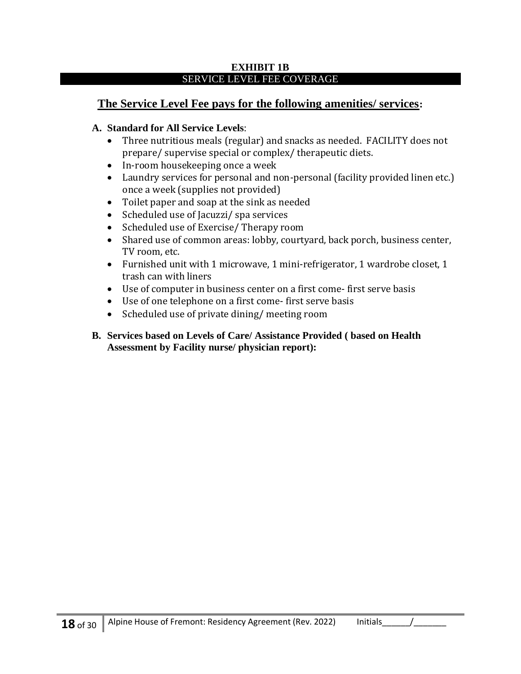#### **EXHIBIT 1B** SERVICE LEVEL FEE COVERAGE

## **The Service Level Fee pays for the following amenities/ services:**

## **A. Standard for All Service Levels**:

- Three nutritious meals (regular) and snacks as needed. FACILITY does not prepare/ supervise special or complex/ therapeutic diets.
- In-room housekeeping once a week
- Laundry services for personal and non-personal (facility provided linen etc.) once a week (supplies not provided)
- Toilet paper and soap at the sink as needed
- Scheduled use of Jacuzzi/ spa services
- Scheduled use of Exercise/ Therapy room
- Shared use of common areas: lobby, courtyard, back porch, business center, TV room, etc.
- Furnished unit with 1 microwave, 1 mini-refrigerator, 1 wardrobe closet, 1 trash can with liners
- Use of computer in business center on a first come- first serve basis
- Use of one telephone on a first come- first serve basis
- Scheduled use of private dining/ meeting room
- **B. Services based on Levels of Care/ Assistance Provided ( based on Health Assessment by Facility nurse/ physician report):**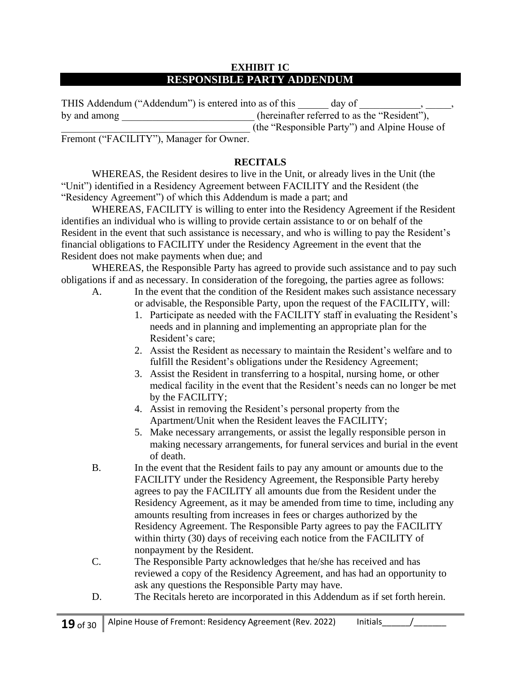#### **EXHIBIT 1C RESPONSIBLE PARTY ADDENDUM**

| THIS Addendum ("Addendum") is entered into as of this | day of                                        |  |
|-------------------------------------------------------|-----------------------------------------------|--|
| by and among                                          | (hereinafter referred to as the "Resident"),  |  |
|                                                       | (the "Responsible Party") and Alpine House of |  |

Fremont ("FACILITY"), Manager for Owner.

#### **RECITALS**

WHEREAS, the Resident desires to live in the Unit, or already lives in the Unit (the "Unit") identified in a Residency Agreement between FACILITY and the Resident (the "Residency Agreement") of which this Addendum is made a part; and

WHEREAS, FACILITY is willing to enter into the Residency Agreement if the Resident identifies an individual who is willing to provide certain assistance to or on behalf of the Resident in the event that such assistance is necessary, and who is willing to pay the Resident's financial obligations to FACILITY under the Residency Agreement in the event that the Resident does not make payments when due; and

WHEREAS, the Responsible Party has agreed to provide such assistance and to pay such obligations if and as necessary. In consideration of the foregoing, the parties agree as follows:

- A. In the event that the condition of the Resident makes such assistance necessary or advisable, the Responsible Party, upon the request of the FACILITY, will:
	- 1. Participate as needed with the FACILITY staff in evaluating the Resident's needs and in planning and implementing an appropriate plan for the Resident's care;
	- 2. Assist the Resident as necessary to maintain the Resident's welfare and to fulfill the Resident's obligations under the Residency Agreement;
	- 3. Assist the Resident in transferring to a hospital, nursing home, or other medical facility in the event that the Resident's needs can no longer be met by the FACILITY;
	- 4. Assist in removing the Resident's personal property from the Apartment/Unit when the Resident leaves the FACILITY;
	- 5. Make necessary arrangements, or assist the legally responsible person in making necessary arrangements, for funeral services and burial in the event of death.
- B. In the event that the Resident fails to pay any amount or amounts due to the FACILITY under the Residency Agreement, the Responsible Party hereby agrees to pay the FACILITY all amounts due from the Resident under the Residency Agreement, as it may be amended from time to time, including any amounts resulting from increases in fees or charges authorized by the Residency Agreement. The Responsible Party agrees to pay the FACILITY within thirty (30) days of receiving each notice from the FACILITY of nonpayment by the Resident.
- C. The Responsible Party acknowledges that he/she has received and has reviewed a copy of the Residency Agreement, and has had an opportunity to ask any questions the Responsible Party may have.
- D. The Recitals hereto are incorporated in this Addendum as if set forth herein.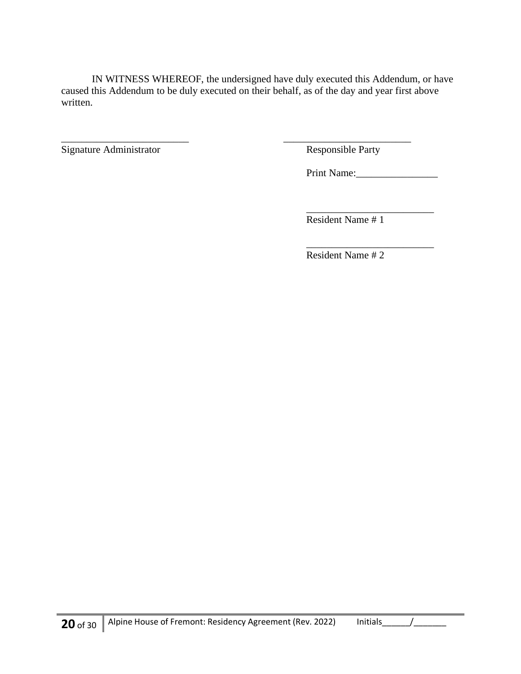IN WITNESS WHEREOF, the undersigned have duly executed this Addendum, or have caused this Addendum to be duly executed on their behalf, as of the day and year first above written.

\_\_\_\_\_\_\_\_\_\_\_\_\_\_\_\_\_\_\_\_\_\_\_\_\_ \_\_\_\_\_\_\_\_\_\_\_\_\_\_\_\_\_\_\_\_\_\_\_\_\_

Signature Administrator Responsible Party

Print Name:

\_\_\_\_\_\_\_\_\_\_\_\_\_\_\_\_\_\_\_\_\_\_\_\_\_

Resident Name # 1

\_\_\_\_\_\_\_\_\_\_\_\_\_\_\_\_\_\_\_\_\_\_\_\_\_ Resident Name # 2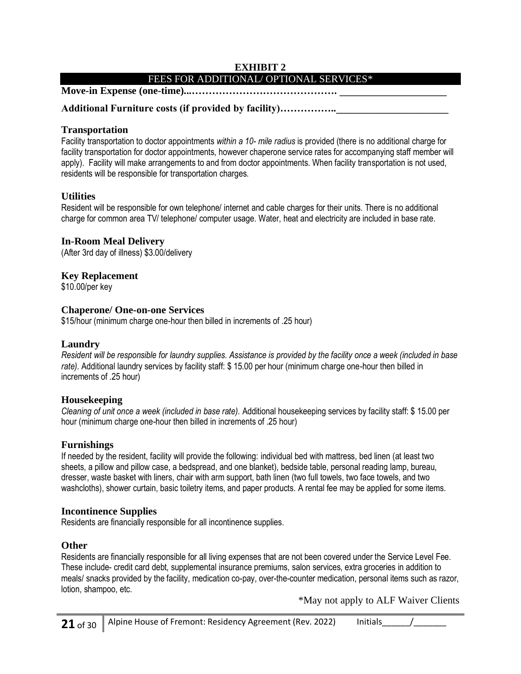#### **EXHIBIT 2** FEES FOR ADDITIONAL/ OPTIONAL SERVICES\*

#### **Move-in Expense (one-time)...……………………………………. \_\_\_\_\_\_\_\_\_\_\_\_\_\_\_\_\_\_\_\_\_**

#### Additional Furniture costs (if provided by facility)..................

#### **Transportation**

Facility transportation to doctor appointments *within a 10- mile radius* is provided (there is no additional charge for facility transportation for doctor appointments, however chaperone service rates for accompanying staff member will apply). Facility will make arrangements to and from doctor appointments. When facility transportation is not used, residents will be responsible for transportation charges.

#### **Utilities**

Resident will be responsible for own telephone/ internet and cable charges for their units. There is no additional charge for common area TV/ telephone/ computer usage. Water, heat and electricity are included in base rate.

#### **In-Room Meal Delivery**

(After 3rd day of illness) \$3.00/delivery

#### **Key Replacement**

\$10.00/per key

#### **Chaperone/ One-on-one Services**

\$15/hour (minimum charge one-hour then billed in increments of .25 hour)

#### **Laundry**

*Resident will be responsible for laundry supplies. Assistance is provided by the facility once a week (included in base rate).* Additional laundry services by facility staff: \$ 15.00 per hour (minimum charge one-hour then billed in increments of .25 hour)

#### **Housekeeping**

*Cleaning of unit once a week (included in base rate).* Additional housekeeping services by facility staff: \$ 15.00 per hour (minimum charge one-hour then billed in increments of .25 hour)

#### **Furnishings**

If needed by the resident, facility will provide the following: individual bed with mattress, bed linen (at least two sheets, a pillow and pillow case, a bedspread, and one blanket), bedside table, personal reading lamp, bureau, dresser, waste basket with liners, chair with arm support, bath linen (two full towels, two face towels, and two washcloths), shower curtain, basic toiletry items, and paper products. A rental fee may be applied for some items.

#### **Incontinence Supplies**

Residents are financially responsible for all incontinence supplies.

#### **Other**

Residents are financially responsible for all living expenses that are not been covered under the Service Level Fee. These include- credit card debt, supplemental insurance premiums, salon services, extra groceries in addition to meals/ snacks provided by the facility, medication co-pay, over-the-counter medication, personal items such as razor, lotion, shampoo, etc.

\*May not apply to ALF Waiver Clients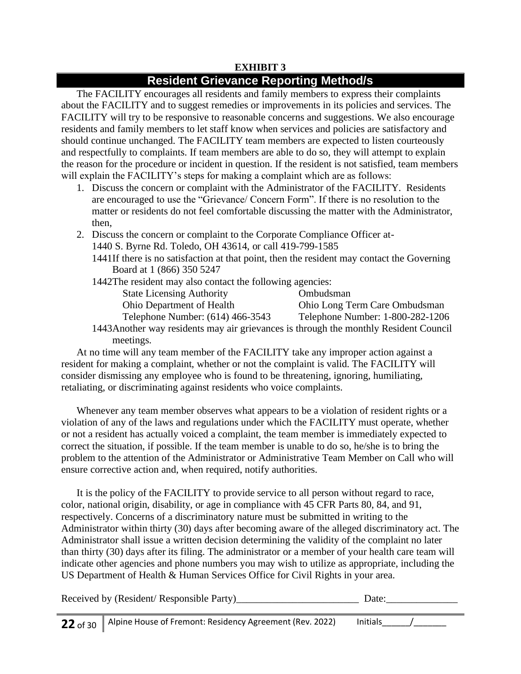## **EXHIBIT 3**

## **Resident Grievance Reporting Method/s**

The FACILITY encourages all residents and family members to express their complaints about the FACILITY and to suggest remedies or improvements in its policies and services. The FACILITY will try to be responsive to reasonable concerns and suggestions. We also encourage residents and family members to let staff know when services and policies are satisfactory and should continue unchanged. The FACILITY team members are expected to listen courteously and respectfully to complaints. If team members are able to do so, they will attempt to explain the reason for the procedure or incident in question. If the resident is not satisfied, team members will explain the FACILITY's steps for making a complaint which are as follows:

- 1. Discuss the concern or complaint with the Administrator of the FACILITY. Residents are encouraged to use the "Grievance/ Concern Form". If there is no resolution to the matter or residents do not feel comfortable discussing the matter with the Administrator, then,
- 2. Discuss the concern or complaint to the Corporate Compliance Officer at-
	- 1440 S. Byrne Rd. Toledo, OH 43614, or call 419-799-1585
		- 1441If there is no satisfaction at that point, then the resident may contact the Governing Board at 1 (866) 350 5247
		- 1442The resident may also contact the following agencies:

| <b>State Licensing Authority</b>                                                     | Ombudsman                        |
|--------------------------------------------------------------------------------------|----------------------------------|
| <b>Ohio Department of Health</b>                                                     | Ohio Long Term Care Ombudsman    |
| Telephone Number: (614) 466-3543                                                     | Telephone Number: 1-800-282-1206 |
| 1443Another way residents may air grievances is through the monthly Resident Council |                                  |

meetings.

At no time will any team member of the FACILITY take any improper action against a resident for making a complaint, whether or not the complaint is valid. The FACILITY will consider dismissing any employee who is found to be threatening, ignoring, humiliating, retaliating, or discriminating against residents who voice complaints.

Whenever any team member observes what appears to be a violation of resident rights or a violation of any of the laws and regulations under which the FACILITY must operate, whether or not a resident has actually voiced a complaint, the team member is immediately expected to correct the situation, if possible. If the team member is unable to do so, he/she is to bring the problem to the attention of the Administrator or Administrative Team Member on Call who will ensure corrective action and, when required, notify authorities.

It is the policy of the FACILITY to provide service to all person without regard to race, color, national origin, disability, or age in compliance with 45 CFR Parts 80, 84, and 91, respectively. Concerns of a discriminatory nature must be submitted in writing to the Administrator within thirty (30) days after becoming aware of the alleged discriminatory act. The Administrator shall issue a written decision determining the validity of the complaint no later than thirty (30) days after its filing. The administrator or a member of your health care team will indicate other agencies and phone numbers you may wish to utilize as appropriate, including the US Department of Health & Human Services Office for Civil Rights in your area.

| Received by (Resident/ Responsible Party)_<br>')ate: |
|------------------------------------------------------|
|------------------------------------------------------|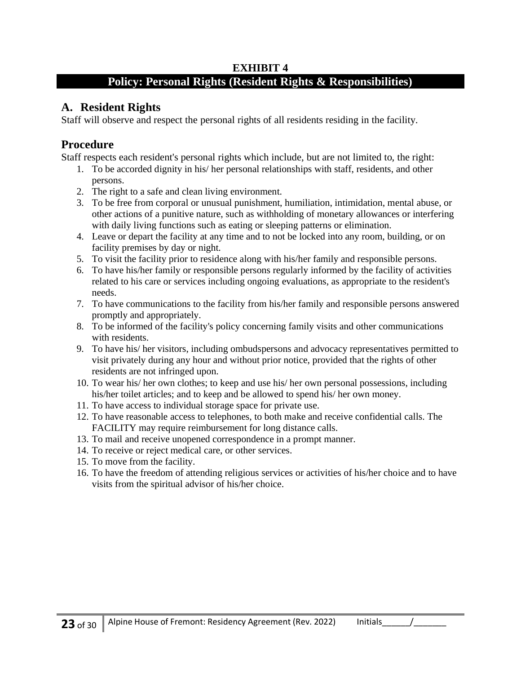## **EXHIBIT 4**

## **Policy: Personal Rights (Resident Rights & Responsibilities)**

## **A. Resident Rights**

Staff will observe and respect the personal rights of all residents residing in the facility.

## **Procedure**

Staff respects each resident's personal rights which include, but are not limited to, the right:

- 1. To be accorded dignity in his/ her personal relationships with staff, residents, and other persons.
- 2. The right to a safe and clean living environment.
- 3. To be free from corporal or unusual punishment, humiliation, intimidation, mental abuse, or other actions of a punitive nature, such as withholding of monetary allowances or interfering with daily living functions such as eating or sleeping patterns or elimination.
- 4. Leave or depart the facility at any time and to not be locked into any room, building, or on facility premises by day or night.
- 5. To visit the facility prior to residence along with his/her family and responsible persons.
- 6. To have his/her family or responsible persons regularly informed by the facility of activities related to his care or services including ongoing evaluations, as appropriate to the resident's needs.
- 7. To have communications to the facility from his/her family and responsible persons answered promptly and appropriately.
- 8. To be informed of the facility's policy concerning family visits and other communications with residents.
- 9. To have his/ her visitors, including ombudspersons and advocacy representatives permitted to visit privately during any hour and without prior notice, provided that the rights of other residents are not infringed upon.
- 10. To wear his/ her own clothes; to keep and use his/ her own personal possessions, including his/her toilet articles; and to keep and be allowed to spend his/ her own money.
- 11. To have access to individual storage space for private use.
- 12. To have reasonable access to telephones, to both make and receive confidential calls. The FACILITY may require reimbursement for long distance calls.
- 13. To mail and receive unopened correspondence in a prompt manner.
- 14. To receive or reject medical care, or other services.
- 15. To move from the facility.
- 16. To have the freedom of attending religious services or activities of his/her choice and to have visits from the spiritual advisor of his/her choice.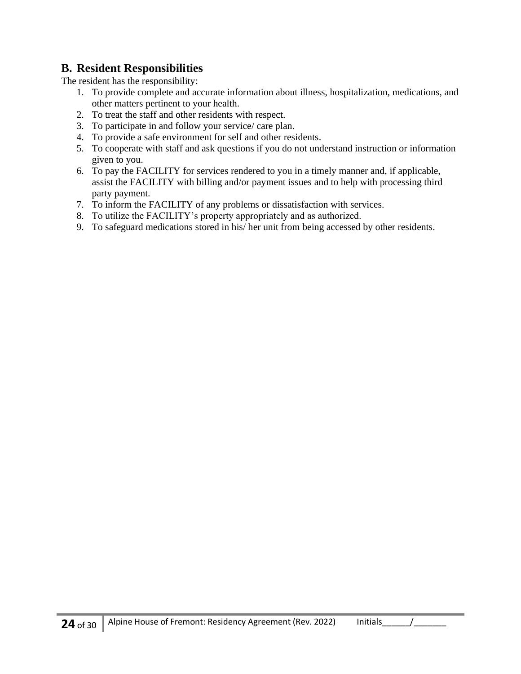## **B. Resident Responsibilities**

The resident has the responsibility:

- 1. To provide complete and accurate information about illness, hospitalization, medications, and other matters pertinent to your health.
- 2. To treat the staff and other residents with respect.
- 3. To participate in and follow your service/ care plan.
- 4. To provide a safe environment for self and other residents.
- 5. To cooperate with staff and ask questions if you do not understand instruction or information given to you.
- 6. To pay the FACILITY for services rendered to you in a timely manner and, if applicable, assist the FACILITY with billing and/or payment issues and to help with processing third party payment.
- 7. To inform the FACILITY of any problems or dissatisfaction with services.
- 8. To utilize the FACILITY's property appropriately and as authorized.
- 9. To safeguard medications stored in his/ her unit from being accessed by other residents.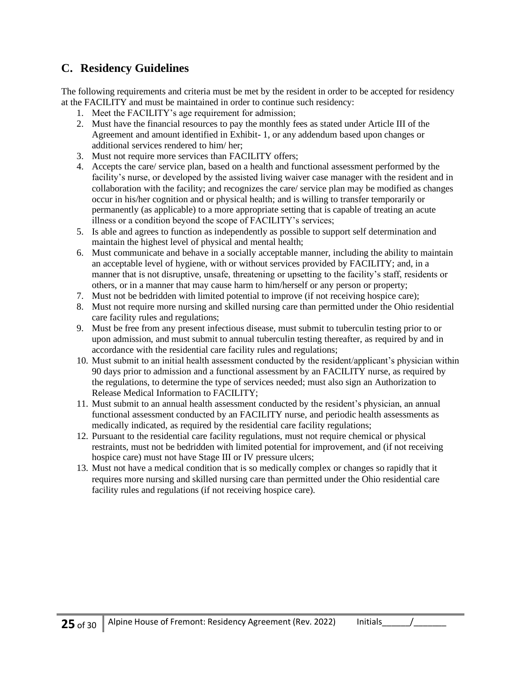## **C. Residency Guidelines**

The following requirements and criteria must be met by the resident in order to be accepted for residency at the FACILITY and must be maintained in order to continue such residency:

- 1. Meet the FACILITY's age requirement for admission;
- 2. Must have the financial resources to pay the monthly fees as stated under Article III of the Agreement and amount identified in Exhibit- 1, or any addendum based upon changes or additional services rendered to him/ her;
- 3. Must not require more services than FACILITY offers;
- 4. Accepts the care/ service plan, based on a health and functional assessment performed by the facility's nurse, or developed by the assisted living waiver case manager with the resident and in collaboration with the facility; and recognizes the care/ service plan may be modified as changes occur in his/her cognition and or physical health; and is willing to transfer temporarily or permanently (as applicable) to a more appropriate setting that is capable of treating an acute illness or a condition beyond the scope of FACILITY's services;
- 5. Is able and agrees to function as independently as possible to support self determination and maintain the highest level of physical and mental health;
- 6. Must communicate and behave in a socially acceptable manner, including the ability to maintain an acceptable level of hygiene, with or without services provided by FACILITY; and, in a manner that is not disruptive, unsafe, threatening or upsetting to the facility's staff, residents or others, or in a manner that may cause harm to him/herself or any person or property;
- 7. Must not be bedridden with limited potential to improve (if not receiving hospice care);
- 8. Must not require more nursing and skilled nursing care than permitted under the Ohio residential care facility rules and regulations;
- 9. Must be free from any present infectious disease, must submit to tuberculin testing prior to or upon admission, and must submit to annual tuberculin testing thereafter, as required by and in accordance with the residential care facility rules and regulations;
- 10. Must submit to an initial health assessment conducted by the resident/applicant's physician within 90 days prior to admission and a functional assessment by an FACILITY nurse, as required by the regulations, to determine the type of services needed; must also sign an Authorization to Release Medical Information to FACILITY;
- 11. Must submit to an annual health assessment conducted by the resident's physician, an annual functional assessment conducted by an FACILITY nurse, and periodic health assessments as medically indicated, as required by the residential care facility regulations;
- 12. Pursuant to the residential care facility regulations, must not require chemical or physical restraints, must not be bedridden with limited potential for improvement, and (if not receiving hospice care) must not have Stage III or IV pressure ulcers;
- 13. Must not have a medical condition that is so medically complex or changes so rapidly that it requires more nursing and skilled nursing care than permitted under the Ohio residential care facility rules and regulations (if not receiving hospice care).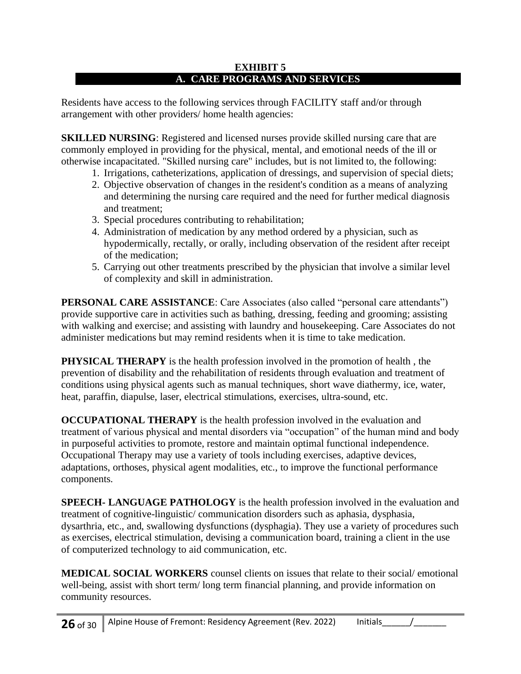#### **EXHIBIT 5 A. CARE PROGRAMS AND SERVICES**

Residents have access to the following services through FACILITY staff and/or through arrangement with other providers/ home health agencies:

**SKILLED NURSING:** Registered and licensed nurses provide skilled nursing care that are commonly employed in providing for the physical, mental, and emotional needs of the ill or otherwise incapacitated. "Skilled nursing care" includes, but is not limited to, the following:

- 1. Irrigations, catheterizations, application of dressings, and supervision of special diets;
- 2. Objective observation of changes in the resident's condition as a means of analyzing and determining the nursing care required and the need for further medical diagnosis and treatment;
- 3. Special procedures contributing to rehabilitation;
- 4. Administration of medication by any method ordered by a physician, such as hypodermically, rectally, or orally, including observation of the resident after receipt of the medication;
- 5. Carrying out other treatments prescribed by the physician that involve a similar level of complexity and skill in administration.

**PERSONAL CARE ASSISTANCE:** Care Associates (also called "personal care attendants") provide supportive care in activities such as bathing, dressing, feeding and grooming; assisting with walking and exercise; and assisting with laundry and housekeeping. Care Associates do not administer medications but may remind residents when it is time to take medication.

**PHYSICAL THERAPY** is the health profession involved in the promotion of health, the prevention of disability and the rehabilitation of residents through evaluation and treatment of conditions using physical agents such as manual techniques, short wave diathermy, ice, water, heat, paraffin, diapulse, laser, electrical stimulations, exercises, ultra-sound, etc.

**OCCUPATIONAL THERAPY** is the health profession involved in the evaluation and treatment of various physical and mental disorders via "occupation" of the human mind and body in purposeful activities to promote, restore and maintain optimal functional independence. Occupational Therapy may use a variety of tools including exercises, adaptive devices, adaptations, orthoses, physical agent modalities, etc., to improve the functional performance components.

**SPEECH- LANGUAGE PATHOLOGY** is the health profession involved in the evaluation and treatment of cognitive-linguistic/ communication disorders such as aphasia, dysphasia, dysarthria, etc., and, swallowing dysfunctions (dysphagia). They use a variety of procedures such as exercises, electrical stimulation, devising a communication board, training a client in the use of computerized technology to aid communication, etc.

**MEDICAL SOCIAL WORKERS** counsel clients on issues that relate to their social/ emotional well-being, assist with short term/ long term financial planning, and provide information on community resources.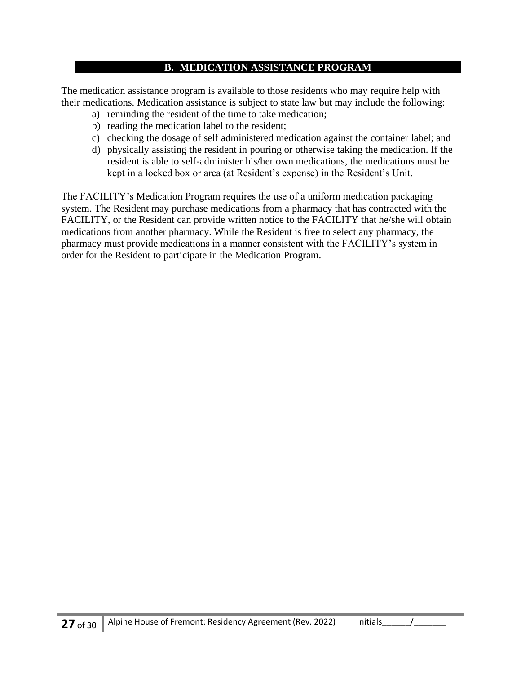#### **B. MEDICATION ASSISTANCE PROGRAM**

The medication assistance program is available to those residents who may require help with their medications. Medication assistance is subject to state law but may include the following:

- a) reminding the resident of the time to take medication;
- b) reading the medication label to the resident;
- c) checking the dosage of self administered medication against the container label; and
- d) physically assisting the resident in pouring or otherwise taking the medication. If the resident is able to self-administer his/her own medications, the medications must be kept in a locked box or area (at Resident's expense) in the Resident's Unit.

The FACILITY's Medication Program requires the use of a uniform medication packaging system. The Resident may purchase medications from a pharmacy that has contracted with the FACILITY, or the Resident can provide written notice to the FACILITY that he/she will obtain medications from another pharmacy. While the Resident is free to select any pharmacy, the pharmacy must provide medications in a manner consistent with the FACILITY's system in order for the Resident to participate in the Medication Program.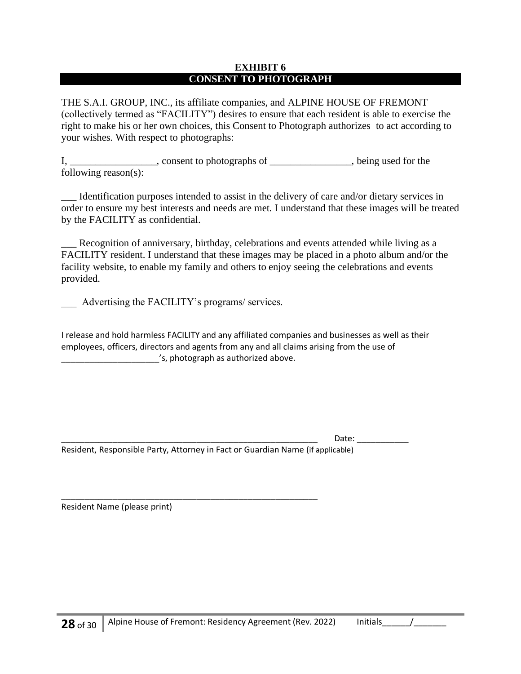#### **EXHIBIT 6 CONSENT TO PHOTOGRAPH**

THE S.A.I. GROUP, INC., its affiliate companies, and ALPINE HOUSE OF FREMONT (collectively termed as "FACILITY") desires to ensure that each resident is able to exercise the right to make his or her own choices, this Consent to Photograph authorizes to act according to your wishes. With respect to photographs:

I, consent to photographs of \_\_\_\_\_\_\_\_\_\_, being used for the following reason(s):

\_\_\_ Identification purposes intended to assist in the delivery of care and/or dietary services in order to ensure my best interests and needs are met. I understand that these images will be treated by the FACILITY as confidential.

\_\_\_ Recognition of anniversary, birthday, celebrations and events attended while living as a FACILITY resident. I understand that these images may be placed in a photo album and/or the facility website, to enable my family and others to enjoy seeing the celebrations and events provided.

Advertising the FACILITY's programs/ services.

I release and hold harmless FACILITY and any affiliated companies and businesses as well as their employees, officers, directors and agents from any and all claims arising from the use of \_\_\_\_\_\_\_\_\_\_\_\_\_\_\_\_\_\_\_\_\_'s, photograph as authorized above.

Date:

Resident, Responsible Party, Attorney in Fact or Guardian Name (if applicable)

\_\_\_\_\_\_\_\_\_\_\_\_\_\_\_\_\_\_\_\_\_\_\_\_\_\_\_\_\_\_\_\_\_\_\_\_\_\_\_\_\_\_\_\_\_\_\_\_\_\_\_\_\_\_\_

Resident Name (please print)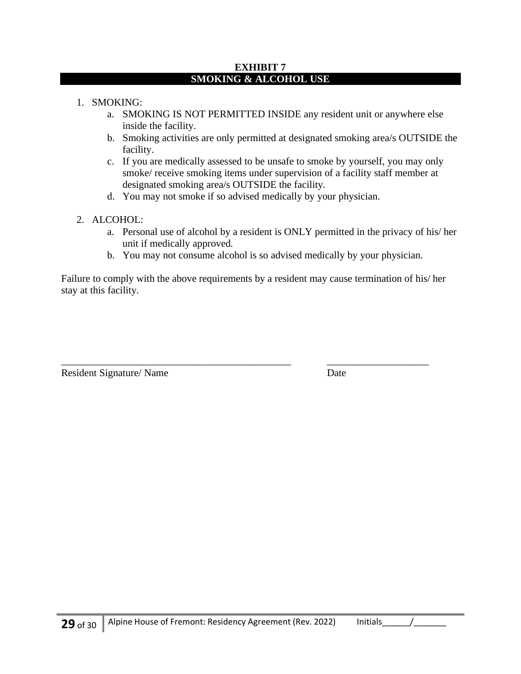#### **EXHIBIT 7 SMOKING & ALCOHOL USE**

- 1. SMOKING:
	- a. SMOKING IS NOT PERMITTED INSIDE any resident unit or anywhere else inside the facility.
	- b. Smoking activities are only permitted at designated smoking area/s OUTSIDE the facility.
	- c. If you are medically assessed to be unsafe to smoke by yourself, you may only smoke/ receive smoking items under supervision of a facility staff member at designated smoking area/s OUTSIDE the facility.
	- d. You may not smoke if so advised medically by your physician.
- 2. ALCOHOL:
	- a. Personal use of alcohol by a resident is ONLY permitted in the privacy of his/ her unit if medically approved.
	- b. You may not consume alcohol is so advised medically by your physician.

Failure to comply with the above requirements by a resident may cause termination of his/ her stay at this facility.

\_\_\_\_\_\_\_\_\_\_\_\_\_\_\_\_\_\_\_\_\_\_\_\_\_\_\_\_\_\_\_\_\_\_\_\_\_\_\_\_\_\_\_\_\_ \_\_\_\_\_\_\_\_\_\_\_\_\_\_\_\_\_\_\_\_

Resident Signature/ Name Date